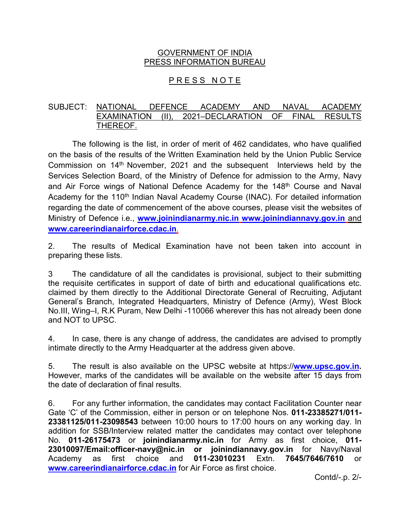# GOVERNMENT OF INDIA PRESS INFORMATION BUREAU

# PRESS NOTE

# SUBJECT: NATIONAL DEFENCE ACADEMY AND NAVAL ACADEMY EXAMINATION (II), 2021–DECLARATION OF FINAL RESULTS THEREOF.

The following is the list, in order of merit of 462 candidates, who have qualified on the basis of the results of the Written Examination held by the Union Public Service Commission on 14<sup>th</sup> November, 2021 and the subsequent Interviews held by the Services Selection Board, of the Ministry of Defence for admission to the Army, Navy and Air Force wings of National Defence Academy for the 148<sup>th</sup> Course and Naval Academy for the 110<sup>th</sup> Indian Naval Academy Course (INAC). For detailed information regarding the date of commencement of the above courses, please visit the websites of Ministry of Defence i.e., **[www.joinindianarmy.nic.in](http://www.joinindianarmy.nic.in/) www.joinindiannavy.gov.in** and **[www.careerindianairforce.cdac.in](http://www.careerindianairforce.cdac.in/)**.

2. The results of Medical Examination have not been taken into account in preparing these lists.

3 The candidature of all the candidates is provisional, subject to their submitting the requisite certificates in support of date of birth and educational qualifications etc. claimed by them directly to the Additional Directorate General of Recruiting, Adjutant General's Branch, Integrated Headquarters, Ministry of Defence (Army), West Block No.III, Wing–I, R.K Puram, New Delhi -110066 wherever this has not already been done and NOT to UPSC.

4. In case, there is any change of address, the candidates are advised to promptly intimate directly to the Army Headquarter at the address given above.

5. The result is also available on the UPSC website at https://**[www.upsc.gov.in.](http://www.upsc.gov.in/)**  However, marks of the candidates will be available on the website after 15 days from the date of declaration of final results.

6. For any further information, the candidates may contact Facilitation Counter near Gate 'C' of the Commission, either in person or on telephone Nos. **011-23385271/011- 23381125/011-23098543** between 10:00 hours to 17:00 hours on any working day. In addition for SSB/Interview related matter the candidates may contact over telephone No. **011-26175473** or **joinindianarmy.nic.in** for Army as first choice, **011- 23010097/Email:officer-navy@nic.in or joinindiannavy.gov.in** for Navy/Naval Academy as first choice and **011-23010231** Extn. **7645/7646/7610** or **[www.careerindianairforce.cdac.in](http://www.careerindianairforce.cdac.in/)** for Air Force as first choice.

Contd/-.p. 2/-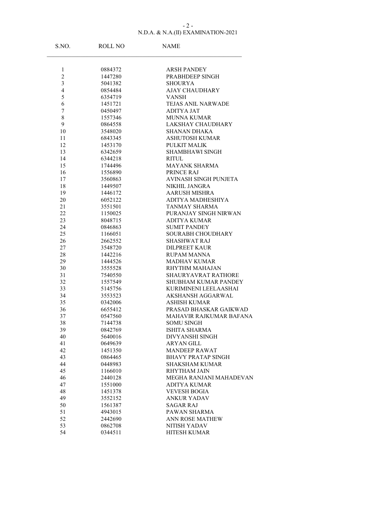### N.D.A. & N.A.(II) EXAMINATION-2021 - 2 -

| S.NO.          | ROLL NO            | <b>NAME</b>                            |
|----------------|--------------------|----------------------------------------|
|                |                    |                                        |
| $\mathbf{1}$   | 0884372            | <b>ARSH PANDEY</b>                     |
| $\overline{c}$ | 1447280            | PRABHDEEP SINGH                        |
| 3              | 5041382            | <b>SHOURYA</b>                         |
| 4              | 0854484            | <b>AJAY CHAUDHARY</b>                  |
| 5              | 6354719            | <b>VANSH</b>                           |
| 6              | 1451721            | <b>TEJAS ANIL NARWADE</b>              |
| 7              | 0450497            | <b>ADITYA JAT</b>                      |
| 8              | 1557346            | <b>MUNNA KUMAR</b>                     |
| 9              | 0864558            | LAKSHAY CHAUDHARY                      |
| 10             | 3548020            | <b>SHANAN DHAKA</b>                    |
| 11             | 6843345            | <b>ASHUTOSH KUMAR</b>                  |
| 12             | 1453170            | PULKIT MALIK                           |
| 13<br>14       | 6342659            | <b>SHAMBHAWI SINGH</b><br><b>RITUL</b> |
|                | 6344218<br>1744496 | <b>MAYANK SHARMA</b>                   |
| 15             | 1556890            | PRINCE RAJ                             |
| 16             | 3560863            | AVINASH SINGH PUNJETA                  |
| 17<br>18       | 1449507            | <b>NIKHIL JANGRA</b>                   |
| 19             | 1446172            | <b>AARUSH MISHRA</b>                   |
| 20             | 6052122            | ADITYA MADHESHIYA                      |
| 21             | 3551501            | <b>TANMAY SHARMA</b>                   |
| 22             | 1150025            | PURANJAY SINGH NIRWAN                  |
| 23             | 8048715            | <b>ADITYA KUMAR</b>                    |
| 24             | 0846863            | <b>SUMIT PANDEY</b>                    |
| 25             | 1166051            | SOURABH CHOUDHARY                      |
| 26             | 2662552            | <b>SHASHWAT RAJ</b>                    |
| 27             | 3548720            | <b>DILPREET KAUR</b>                   |
| 28             | 1442216            | <b>RUPAM MANNA</b>                     |
| 29             | 1444526            | <b>MADHAV KUMAR</b>                    |
| 30             | 3555528            | <b>RHYTHM MAHAJAN</b>                  |
| 31             | 7540550            | SHAURYAVRAT RATHORE                    |
| 32             | 1557549            | <b>SHUBHAM KUMAR PANDEY</b>            |
| 33             | 5145756            | KURIMINENI LEELAASHAI                  |
| 34             | 3553523            | <b>AKSHANSH AGGARWAL</b>               |
| 35             | 0342006            | <b>ASHISH KUMAR</b>                    |
| 36             | 6655412            | PRASAD BHASKAR GAIKWAD                 |
| 37             | 0547560            | <b>MAHAVIR RAJKUMAR BAFANA</b>         |
| 38             | 7144738            | <b>SOMU SINGH</b>                      |
| 39             | 0842769            | <b>ISHITA SHARMA</b>                   |
| 40             | 5640016            | DIVYANSHI SINGH                        |
| 41             | 0649639            | ARYAN GILL                             |
| 42             | 1451350            | <b>MANDEEP RAWAT</b>                   |
| 43             | 0864465            | <b>BHAVY PRATAP SINGH</b>              |
| 44             | 0448983            | <b>SHAKSHAM KUMAR</b>                  |
| 45             | 1166010            | <b>RHYTHAM JAIN</b>                    |
| 46             | 2440128            | MEGHA RANJANI MAHADEVAN                |
| 47             | 1551000            | ADITYA KUMAR                           |
| 48             | 1451378            | <b>VEVESH BOGIA</b>                    |
| 49             | 3552152            | <b>ANKUR YADAV</b>                     |
| 50             | 1561387            | <b>SAGAR RAJ</b>                       |
| 51             | 4943015            | PAWAN SHARMA                           |
| 52             | 2442690            | <b>ANN ROSE MATHEW</b>                 |
| 53             | 0862708            | NITISH YADAV                           |
| 54             | 0344511            | HITESH KUMAR                           |
|                |                    |                                        |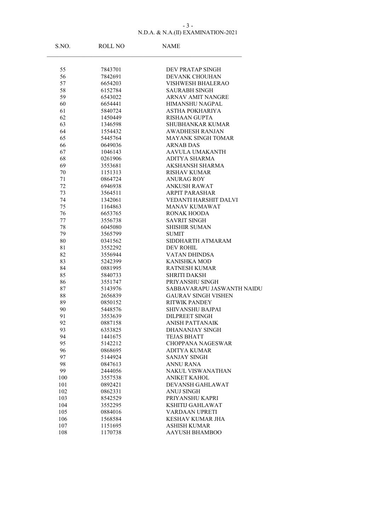### N.D.A. & N.A.(II) EXAMINATION-2021 - 3 -

| S.NO.    | <b>ROLL NO</b>     | <b>NAME</b>                                        |
|----------|--------------------|----------------------------------------------------|
|          |                    |                                                    |
| 55       | 7843701            | DEV PRATAP SINGH                                   |
| 56       | 7842691            | <b>DEVANK CHOUHAN</b>                              |
| 57       | 6654203            | <b>VISHWESH BHALERAO</b>                           |
| 58       | 6152784            | <b>SAURABH SINGH</b>                               |
| 59       | 6543022            | <b>ARNAV AMIT NANGRE</b>                           |
| 60       | 6654441            | HIMANSHU NAGPAL                                    |
| 61       | 5840724            | ASTHA POKHARIYA                                    |
| 62       | 1450449            | <b>RISHAAN GUPTA</b>                               |
| 63       | 1346598            | SHUBHANKAR KUMAR                                   |
| 64       | 1554432            | <b>AWADHESH RANJAN</b>                             |
| 65       | 5445764            | <b>MAYANK SINGH TOMAR</b>                          |
| 66       | 0649036            | <b>ARNAB DAS</b>                                   |
| 67       | 1046143            | AAVULA UMAKANTH                                    |
| 68       | 0261906            | <b>ADITYA SHARMA</b>                               |
| 69       | 3553681            | <b>AKSHANSH SHARMA</b>                             |
| 70       | 1151313            | RISHAV KUMAR                                       |
| 71       | 0864724            | <b>ANURAG ROY</b>                                  |
| 72       | 6946938            | <b>ANKUSH RAWAT</b>                                |
| 73       | 3564511            | <b>ARPIT PARASHAR</b>                              |
| 74       | 1342061            | <b>VEDANTI HARSHIT DALVI</b>                       |
| 75       | 1164863            | <b>MANAV KUMAWAT</b>                               |
| 76       | 6653765            | <b>RONAK HOODA</b>                                 |
| 77       | 3556738            | <b>SAVRIT SINGH</b>                                |
| 78       | 6045080            | <b>SHISHIR SUMAN</b>                               |
| 79       | 3565799            | SUMIT                                              |
| 80       | 0341562            | SIDDHARTH ATMARAM                                  |
| 81       | 3552292            | DEV ROHIL                                          |
| 82       | 3556944            | VATAN DHINDSA                                      |
| 83       | 5242399            | <b>KANISHKA MOD</b>                                |
| 84       | 0881995            | <b>RATNESH KUMAR</b>                               |
| 85       | 5840733            | <b>SHRITI DAKSH</b>                                |
| 86       | 3551747            | PRIYANSHU SINGH                                    |
| 87       | 5143976            | SABBAVARAPU JASWANTH NAIDU                         |
| 88       | 2656839            | <b>GAURAV SINGH VISHEN</b><br><b>RITWIK PANDEY</b> |
| 89<br>90 | 0850152<br>5448576 | <b>SHIVANSHU BAJPAI</b>                            |
| 91       | 3553639            |                                                    |
| 92       | 0887158            | DILPREET SINGH<br><b>ANISH PATTANAIK</b>           |
| 93       | 6353825            | DHANANJAY SINGH                                    |
| 94       | 1441675            | <b>TEJAS BHATT</b>                                 |
| 95       | 5142212            | <b>CHOPPANA NAGESWAR</b>                           |
| 96       | 0868695            | <b>ADITYA KUMAR</b>                                |
| 97       | 5144924            | <b>SANJAY SINGH</b>                                |
| 98       | 0847613            | <b>ANNU RANA</b>                                   |
| 99       | 2444056            | <b>NAKUL VISWANATHAN</b>                           |
| 100      | 3557538            | <b>ANIKET KAHOL</b>                                |
| 101      | 0892421            | DEVANSH GAHLAWAT                                   |
| 102      | 0862331            | <b>ANUJ SINGH</b>                                  |
| 103      | 8542529            | PRIYANSHU KAPRI                                    |
| 104      | 3552295            | KSHITIJ GAHLAWAT                                   |
| 105      | 0884016            | <b>VARDAAN UPRETI</b>                              |
| 106      | 1568584            | KESHAV KUMAR JHA                                   |
| 107      | 1151695            | ASHISH KUMAR                                       |
| 108      | 1170738            | <b>AAYUSH BHAMBOO</b>                              |
|          |                    |                                                    |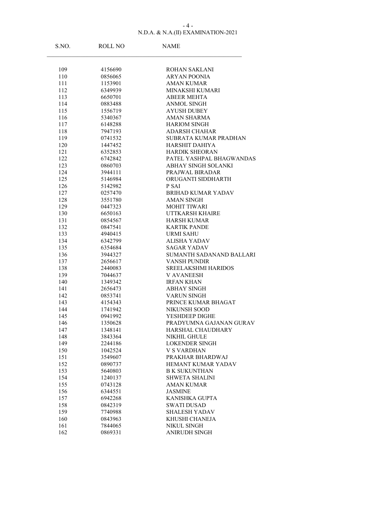### N.D.A. & N.A.(II) EXAMINATION-2021 - 4 -

| S.NO.      | ROLL NO            | <b>NAME</b>                       |
|------------|--------------------|-----------------------------------|
|            |                    |                                   |
| 109        | 4156690            | ROHAN SAKLANI                     |
| 110        | 0856065            | ARYAN POONIA                      |
| 111        | 1153901            | <b>AMAN KUMAR</b>                 |
| 112        | 6349939            | <b>MINAKSHI KUMARI</b>            |
| 113<br>114 | 6650701<br>0883488 | <b>ABEER MEHTA</b><br>ANMOL SINGH |
| 115        | 1556719            | <b>AYUSH DUBEY</b>                |
| 116        | 5340367            | <b>AMAN SHARMA</b>                |
| 117        | 6148288            | <b>HARIOM SINGH</b>               |
| 118        | 7947193            | <b>ADARSH CHAHAR</b>              |
| 119        | 0741532            | SUBRATA KUMAR PRADHAN             |
| 120        | 1447452            | <b>HARSHIT DAHIYA</b>             |
| 121        | 6352853            | <b>HARDIK SHEORAN</b>             |
| 122        | 6742842            | PATEL YASHPAL BHAGWANDAS          |
| 123        | 0860703            | <b>ABHAY SINGH SOLANKI</b>        |
| 124        | 3944111            | PRAJWAL BIRADAR                   |
| 125        | 5146984            | ORUGANTI SIDDHARTH                |
| 126        | 5142982            | P SAI                             |
| 127        | 0257470            | BRIHAD KUMAR YADAV                |
| 128        | 3551780            | <b>AMAN SINGH</b>                 |
| 129        | 0447323            | <b>MOHIT TIWARI</b>               |
| 130        | 6650163            | UTTKARSH KHAIRE                   |
| 131        | 0854567            | <b>HARSH KUMAR</b>                |
| 132        | 0847541            | <b>KARTIK PANDE</b>               |
| 133        | 4940415            | <b>URMI SAHU</b>                  |
| 134        | 6342799            | <b>ALISHA YADAV</b>               |
| 135        | 6354684            | SAGAR YADAV                       |
| 136        | 3944327            | SUMANTH SADANAND BALLARI          |
| 137        | 2656617            | <b>VANSH PUNDIR</b>               |
| 138        | 2440083            | <b>SREELAKSHMI HARIDOS</b>        |
| 139        | 7044637            | V AVANEESH                        |
| 140        | 1349342            | <b>IRFAN KHAN</b>                 |
| 141        | 2656473            | <b>ABHAY SINGH</b>                |
| 142        | 0853741            | <b>VARUN SINGH</b>                |
| 143        | 4154343            | PRINCE KUMAR BHAGAT               |
| 144        | 1741942            | NIKUNSH SOOD                      |
| 145        | 0941992            | YESHDEEP DIGHE                    |
| 146        | 1350628            | PRADYUMNA GAJANAN GURAV           |
| 147<br>148 | 1348141<br>3843364 | HARSHAL CHAUDHARY<br>NIKHIL GHULE |
| 149        | 2244186            | <b>LOKENDER SINGH</b>             |
| 150        | 1042524            | <b>V S VARDHAN</b>                |
| 151        | 3549607            | PRAKHAR BHARDWAJ                  |
| 152        | 0890737            | HEMANT KUMAR YADAV                |
| 153        | 5640803            | <b>B K SUKUNTHAN</b>              |
| 154        | 1240137            | <b>SHWETA SHALINI</b>             |
| 155        | 0743128            | <b>AMAN KUMAR</b>                 |
| 156        | 6344551            | <b>JASMINE</b>                    |
| 157        | 6942268            | KANISHKA GUPTA                    |
| 158        | 0842319            | <b>SWATI DUSAD</b>                |
| 159        | 7740988            | <b>SHALESH YADAV</b>              |
| 160        | 0843963            | KHUSHI CHANEJA                    |
| 161        | 7844065            | NIKUL SINGH                       |
| 162        | 0869331            | <b>ANIRUDH SINGH</b>              |
|            |                    |                                   |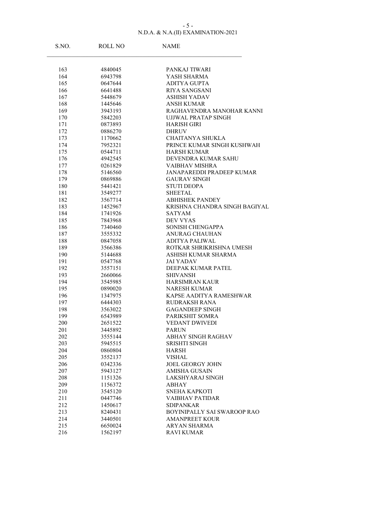### N.D.A. & N.A.(II) EXAMINATION-2021  $-5 -$

| S.NO.      | ROLL NO            | <b>NAME</b>                                          |
|------------|--------------------|------------------------------------------------------|
|            |                    |                                                      |
| 163        | 4840045            | PANKAJ TIWARI                                        |
| 164        | 6943798            | YASH SHARMA                                          |
| 165        | 0647644            | ADITYA GUPTA                                         |
| 166        | 6641488            | <b>RIYA SANGSANI</b>                                 |
| 167        | 5448679            | <b>ASHISH YADAV</b>                                  |
| 168<br>169 | 1445646<br>3943193 | ANSH KUMAR<br>RAGHAVENDRA MANOHAR KANNI              |
| 170        | 5842203            | UJJWAL PRATAP SINGH                                  |
| 171        | 0873893            | <b>HARISH GIRI</b>                                   |
| 172        | 0886270            | <b>DHRUV</b>                                         |
| 173        | 1170662            | <b>CHAITANYA SHUKLA</b>                              |
| 174        | 7952321            | PRINCE KUMAR SINGH KUSHWAH                           |
| 175        | 0544711            | <b>HARSH KUMAR</b>                                   |
| 176        | 4942545            | DEVENDRA KUMAR SAHU                                  |
| 177        | 0261829            | <b>VAIBHAV MISHRA</b>                                |
| 178        | 5146560            | <b>JANAPAREDDI PRADEEP KUMAR</b>                     |
| 179        | 0869886            | <b>GAURAV SINGH</b>                                  |
| 180        | 5441421            | <b>STUTI DEOPA</b>                                   |
| 181        | 3549277            | <b>SHEETAL</b>                                       |
| 182        | 3567714            | <b>ABHISHEK PANDEY</b>                               |
| 183        | 1452967            | KRISHNA CHANDRA SINGH BAGIYAL                        |
| 184        | 1741926            | <b>SATYAM</b>                                        |
| 185        | 7843968            | <b>DEV VYAS</b>                                      |
| 186        | 7340460            | SONISH CHENGAPPA                                     |
| 187        | 3555332            | <b>ANURAG CHAUHAN</b>                                |
| 188        | 0847058            | <b>ADITYA PALIWAL</b>                                |
| 189        | 3566386            | ROTKAR SHRIKRISHNA UMESH                             |
| 190        | 5144688            | ASHISH KUMAR SHARMA                                  |
| 191        | 0547768            | <b>JAI YADAV</b>                                     |
| 192        | 3557151            | DEEPAK KUMAR PATEL                                   |
| 193        | 2660066            | SHIVANSH                                             |
| 194        | 3545985            | <b>HARSIMRAN KAUR</b>                                |
| 195        | 0890020            | <b>NARESH KUMAR</b>                                  |
| 196        | 1347975            | KAPSE AADITYA RAMESHWAR                              |
| 197        | 6444303            | <b>RUDRAKSH RANA</b>                                 |
| 198        | 3563022            | <b>GAGANDEEP SINGH</b>                               |
| 199        | 6543989            | PARIKSHIT SOMRA                                      |
| 200        | 2651522            | <b>VEDANT DWIVEDI</b>                                |
| 201        | 3445892            | <b>PARUN</b>                                         |
| 202        | 3555144            | <b>ABHAY SINGH RAGHAV</b>                            |
| 203        | 5945515            | SRISHTI SINGH                                        |
| 204        | 0860804            | <b>HARSH</b>                                         |
| 205        | 3552137            | <b>VISHAL</b>                                        |
| 206        | 0342336            | <b>JOEL GEORGY JOHN</b>                              |
| 207        | 5943127            | <b>AMISHA GUSAIN</b>                                 |
| 208        | 1151326            | LAKSHYARAJ SINGH                                     |
| 209        | 1156372            | ABHAY                                                |
| 210        | 3545120            | <b>SNEHA KAPKOTI</b>                                 |
| 211        | 0447746            | <b>VAIBHAV PATIDAR</b>                               |
| 212        | 1450617            | <b>SDIPANKAR</b>                                     |
| 213<br>214 | 8240431<br>3440501 | BOYINIPALLY SAI SWAROOP RAO<br><b>AMANPREET KOUR</b> |
| 215        | 6650024            | ARYAN SHARMA                                         |
| 216        | 1562197            | <b>RAVI KUMAR</b>                                    |
|            |                    |                                                      |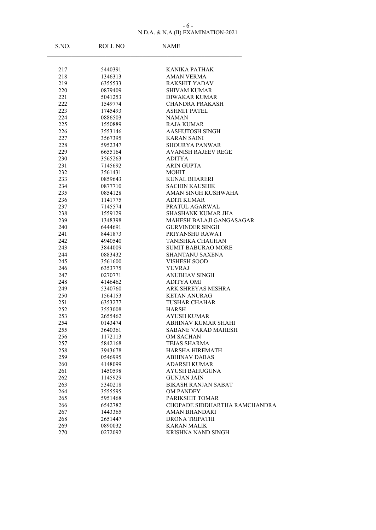### N.D.A. & N.A.(II) EXAMINATION-2021 - 6 -

| S.NO.      | <b>ROLL NO</b>     | <b>NAME</b>                                      |
|------------|--------------------|--------------------------------------------------|
|            |                    |                                                  |
| 217        | 5440391            | <b>KANIKA PATHAK</b>                             |
| 218        | 1346313            | <b>AMAN VERMA</b>                                |
| 219        | 6355533            | <b>RAKSHIT YADAV</b>                             |
| 220        | 0879409            | <b>SHIVAM KUMAR</b>                              |
| 221        | 5041253            | <b>DIWAKAR KUMAR</b>                             |
| 222        | 1549774            | <b>CHANDRA PRAKASH</b>                           |
| 223        | 1745493            | <b>ASHMIT PATEL</b>                              |
| 224        | 0886503            | <b>NAMAN</b>                                     |
| 225        | 1550889            | <b>RAJA KUMAR</b>                                |
| 226        | 3553146            | <b>AASHUTOSH SINGH</b>                           |
| 227        | 3567395            | <b>KARAN SAINI</b>                               |
| 228        | 5952347            | SHOURYA PANWAR                                   |
| 229        | 6655164            | <b>AVANISH RAJEEV REGE</b>                       |
| 230        | 3565263            | ADITYA                                           |
| 231        | 7145692            | <b>ARIN GUPTA</b>                                |
| 232        | 3561431            | <b>MOHIT</b>                                     |
| 233        | 0859643            | <b>KUNAL BHARERI</b>                             |
| 234        | 0877710            | <b>SACHIN KAUSHIK</b>                            |
| 235        | 0854128            | AMAN SINGH KUSHWAHA                              |
| 236        | 1141775            | <b>ADITI KUMAR</b>                               |
| 237        | 7145574            | PRATUL AGARWAL                                   |
| 238        | 1559129            | <b>SHASHANK KUMAR JHA</b>                        |
| 239        | 1348398            | MAHESH BALAJI GANGASAGAR                         |
| 240        | 6444691            | <b>GURVINDER SINGH</b>                           |
| 241        | 8441873            | PRIYANSHU RAWAT                                  |
| 242        | 4940540            | TANISHKA CHAUHAN                                 |
| 243        | 3844009            | SUMIT BABURAO MORE                               |
| 244        | 0883432            | <b>SHANTANU SAXENA</b>                           |
| 245        | 3561600            | <b>VISHESH SOOD</b>                              |
| 246        | 6353775            | <b>YUVRAJ</b>                                    |
| 247        | 0270771            | <b>ANUBHAV SINGH</b>                             |
| 248        | 4146462            | <b>ADITYA OMI</b>                                |
| 249        | 5340760            | ARK SHREYAS MISHRA                               |
| 250        | 1564153            | <b>KETAN ANURAG</b>                              |
| 251        | 6353277            | <b>TUSHAR CHAHAR</b><br><b>HARSH</b>             |
| 252        | 3553008            |                                                  |
| 253        | 2655462            | <b>AYUSH KUMAR</b><br><b>ABHINAV KUMAR SHAHI</b> |
| 254        | 0143474            | <b>SABANE VARAD MAHESH</b>                       |
| 255<br>256 | 3640361<br>1172113 | OM SACHAN                                        |
| 257        | 5842168            | <b>TEJAS SHARMA</b>                              |
| 258        | 3943678            | <b>HARSHA HIREMATH</b>                           |
| 259        | 0546995            | <b>ABHINAV DABAS</b>                             |
| 260        | 4148099            | <b>ADARSH KUMAR</b>                              |
| 261        | 1450598            | <b>AYUSH BAHUGUNA</b>                            |
| 262        | 1145929            | <b>GUNJAN JAIN</b>                               |
| 263        | 5340218            | <b>BIKASH RANJAN SABAT</b>                       |
| 264        | 3555595            | <b>OM PANDEY</b>                                 |
| 265        | 5951468            | PARIKSHIT TOMAR                                  |
| 266        | 6542782            | CHOPADE SIDDHARTHA RAMCHANDRA                    |
| 267        | 1443365            | <b>AMAN BHANDARI</b>                             |
| 268        | 2651447            | <b>DRONA TRIPATHI</b>                            |
| 269        | 0890032            | <b>KARAN MALIK</b>                               |
| 270        | 0272092            | KRISHNA NAND SINGH                               |
|            |                    |                                                  |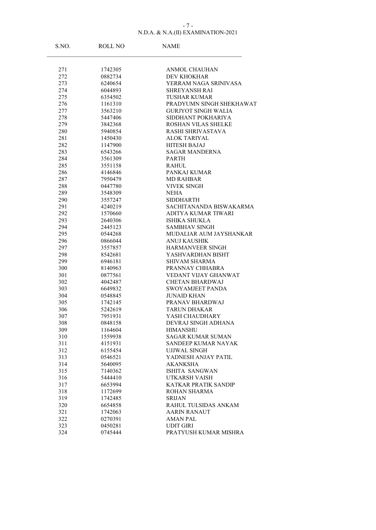### N.D.A. & N.A.(II) EXAMINATION-2021 - 7 -

| S.NO.      | ROLL NO            | <b>NAME</b>                                 |
|------------|--------------------|---------------------------------------------|
|            |                    |                                             |
| 271<br>272 | 1742305<br>0882734 | ANMOL CHAUHAN<br><b>DEV KHOKHAR</b>         |
| 273        | 6240654            | YERRAM NAGA SRINIVASA                       |
| 274        | 6044893            | <b>SHREYANSH RAI</b>                        |
| 275        | 6354502            | <b>TUSHAR KUMAR</b>                         |
| 276        | 1161310            | PRADYUMN SINGH SHEKHAWAT                    |
| 277        | 3563210            | <b>GURJYOT SINGH WALIA</b>                  |
| 278        | 5447406            | SIDDHANT POKHARIYA                          |
| 279        | 3842368            | <b>ROSHAN VILAS SHELKE</b>                  |
| 280        | 5940854            | RASHI SHRIVASTAVA                           |
| 281        | 1450430            | ALOK TARIYAL                                |
| 282        | 1147900            | <b>HITESH BAJAJ</b>                         |
| 283        | 6543266            | <b>SAGAR MANDERNA</b>                       |
| 284        | 3561309            | <b>PARTH</b>                                |
| 285        | 3551158            | RAHUL                                       |
| 286        | 4146846            | PANKAJ KUMAR                                |
| 287        | 7950479            | <b>MD RAHBAR</b>                            |
| 288        | 0447780            | <b>VIVEK SINGH</b>                          |
| 289        | 3548309            | <b>NEHA</b>                                 |
| 290        | 3557247            | SIDDHARTH                                   |
| 291        | 4240219            | SACHITANANDA BISWAKARMA                     |
| 292        | 1570660            | ADITYA KUMAR TIWARI                         |
| 293        | 2640306            | <b>ISHIKA SHUKLA</b>                        |
| 294        | 2445123            | <b>SAMBHAV SINGH</b>                        |
| 295        | 0544268            | MUDALIAR AUM JAYSHANKAR                     |
| 296        | 0866044            | <b>ANUJ KAUSHIK</b>                         |
| 297        | 3557857            | <b>HARMANVEER SINGH</b>                     |
| 298        | 8542681            | YASHVARDHAN BISHT                           |
| 299        | 6946181            | <b>SHIVAM SHARMA</b>                        |
| 300        | 8140963            | PRANNAY CHHABRA                             |
| 301        | 0877561            | VEDANT VIJAY GHANWAT                        |
| 302        | 4042487            | CHETAN BHARDWAJ                             |
| 303        | 6649832            | <b>SWOYAMJEET PANDA</b>                     |
| 304        | 0548845            | <b>JUNAID KHAN</b>                          |
| 305        | 1742145            | PRANAV BHARDWAJ                             |
| 306        | 5242619            | <b>TARUN DHAKAR</b>                         |
| 307        | 7951931            | YASH CHAUDHARY                              |
| 308        | 0848158            | DEVRAJ SINGH ADHANA                         |
| 309        | 1164604            | <b>HIMANSHU</b>                             |
| 310        | 1559938            | <b>SAGAR KUMAR SUMAN</b>                    |
| 311        | 4151931            | SANDEEP KUMAR NAYAK                         |
| 312        | 6155454            | <b>UJJWAL SINGH</b>                         |
| 313        | 0546521            | YADNESH ANJAY PATIL                         |
| 314        | 5640095            | <b>AKANKSHA</b>                             |
| 315        | 7140362            | ISHITA SANGWAN                              |
| 316        | 5444410            | UTKARSH VAISH                               |
| 317        | 6653994            | KATKAR PRATIK SANDIP                        |
| 318        | 1172699            | ROHAN SHARMA                                |
| 319        | 1742485            | <b>SRIJAN</b>                               |
| 320        | 6654858            | RAHUL TULSIDAS ANKAM<br><b>AARIN RANAUT</b> |
| 321<br>322 | 1742063<br>0270391 |                                             |
|            |                    | <b>AMAN PAL</b>                             |
| 323        | 0450281            | <b>UDIT GIRI</b>                            |
| 324        | 0745444            | PRATYUSH KUMAR MISHRA                       |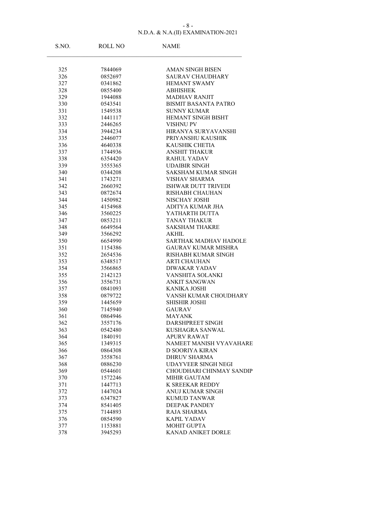### N.D.A. & N.A.(II) EXAMINATION-2021 - 8 -

| S.NO.      | ROLL NO            | <b>NAME</b>                                    |
|------------|--------------------|------------------------------------------------|
|            |                    |                                                |
| 325        | 7844069            | <b>AMAN SINGH BISEN</b>                        |
| 326        | 0852697            | <b>SAURAV CHAUDHARY</b><br><b>HEMANT SWAMY</b> |
| 327<br>328 | 0341862<br>0855400 | <b>ABHISHEK</b>                                |
|            |                    | <b>MADHAV RANJIT</b>                           |
| 329<br>330 | 1944088<br>0543541 | BISMIT BASANTA PATRO                           |
| 331        | 1549538            | <b>SUNNY KUMAR</b>                             |
| 332        | 1441117            | <b>HEMANT SINGH BISHT</b>                      |
| 333        | 2446265            | <b>VISHNU PV</b>                               |
| 334        | 3944234            | HIRANYA SURYAVANSHI                            |
| 335        | 2446077            | PRIYANSHU KAUSHIK                              |
| 336        | 4640338            | <b>KAUSHIK CHETIA</b>                          |
| 337        | 1744936            | <b>ANSHIT THAKUR</b>                           |
| 338        | 6354420            | <b>RAHUL YADAV</b>                             |
| 339        | 3555365            | <b>UDAIBIR SINGH</b>                           |
| 340        | 0344208            | <b>SAKSHAM KUMAR SINGH</b>                     |
| 341        | 1743271            | <b>VISHAV SHARMA</b>                           |
| 342        | 2660392            | <b>ISHWAR DUTT TRIVEDI</b>                     |
| 343        | 0872674            | RISHABH CHAUHAN                                |
| 344        | 1450982            | NISCHAY JOSHI                                  |
| 345        | 4154968            | <b>ADITYA KUMAR JHA</b>                        |
| 346        | 3560225            | YATHARTH DUTTA                                 |
| 347        | 0853211            | <b>TANAY THAKUR</b>                            |
| 348        | 6649564            | <b>SAKSHAM THAKRE</b>                          |
| 349        | 3566292            | AKHIL                                          |
| 350        | 6654990            | <b>SARTHAK MADHAV HADOLE</b>                   |
| 351        | 1154386            | <b>GAURAV KUMAR MISHRA</b>                     |
| 352        | 2654536            | RISHABH KUMAR SINGH                            |
| 353        | 6348517            | <b>ARTI CHAUHAN</b>                            |
| 354        | 3566865            | <b>DIWAKAR YADAV</b>                           |
| 355        | 2142123            | VANSHITA SOLANKI                               |
| 356        | 3556731            | <b>ANKIT SANGWAN</b>                           |
| 357        | 0841093            | <b>KANIKA JOSHI</b>                            |
| 358        | 0879722            | VANSH KUMAR CHOUDHARY                          |
| 359        | 1445659            | <b>SHISHIR JOSHI</b>                           |
| 360        | 7145940            | <b>GAURAV</b>                                  |
| 361        | 0864946            | <b>MAYANK</b>                                  |
| 362        | 3557176            | DARSHPREET SINGH                               |
| 363        | 0542480            | <b>KUSHAGRA SANWAL</b>                         |
| 364        | 1840191            | APURV RAWAT                                    |
| 365        | 1349315            | NAMEET MANISH VYAVAHARE                        |
| 366        | 0864308            | D SOORIYA KIRAN                                |
| 367        | 3558761            | <b>DHRUV SHARMA</b>                            |
| 368        | 0886230            | UDAYVEER SINGH NEGI                            |
| 369        | 0544601            | CHOUDHARI CHINMAY SANDIP                       |
| 370        | 1572246            | MIHIR GAUTAM                                   |
| 371        | 1447713            | K SREEKAR REDDY                                |
| 372        | 1447024            | ANUJ KUMAR SINGH                               |
| 373        | 6347827            | <b>KUMUD TANWAR</b>                            |
| 374        | 8541405            | <b>DEEPAK PANDEY</b>                           |
| 375        | 7144893            | RAJA SHARMA                                    |
| 376        | 0854590            | <b>KAPIL YADAV</b>                             |
| 377        | 1153881            | <b>MOHIT GUPTA</b>                             |
| 378        | 3945293            | KANAD ANIKET DORLE                             |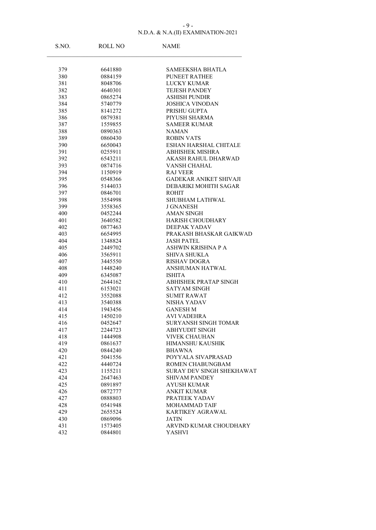#### N.D.A. & N.A.(II) EXAMINATION-2021 - 9 -

| S.NO.      | ROLL NO            | <b>NAME</b>                           |
|------------|--------------------|---------------------------------------|
|            |                    |                                       |
| 379        | 6641880            | SAMEEKSHA BHATLA                      |
| 380        | 0884159            | <b>PUNEET RATHEE</b>                  |
| 381        | 8048706            | <b>LUCKY KUMAR</b>                    |
| 382        | 4640301            | <b>TEJESH PANDEY</b>                  |
| 383        | 0865274            | <b>ASHISH PUNDIR</b>                  |
| 384        | 5740779            | <b>JOSHICA VINODAN</b>                |
| 385        | 8141272            | PRISHU GUPTA                          |
| 386        | 0879381            | PIYUSH SHARMA                         |
| 387        | 1559855            | <b>SAMEER KUMAR</b>                   |
| 388        | 0890363            | <b>NAMAN</b>                          |
| 389        | 0860430            | <b>ROBIN VATS</b>                     |
| 390        | 6650043            | <b>ESHAN HARSHAL CHITALE</b>          |
| 391        | 0255911            | <b>ABHISHEK MISHRA</b>                |
| 392<br>393 | 6543211<br>0874716 | AKASH RAHUL DHARWAD<br>VANSH CHAHAL   |
|            | 1150919            | <b>RAJ VEER</b>                       |
| 394        | 0548366            | <b>GADEKAR ANIKET SHIVAJI</b>         |
| 395        |                    |                                       |
| 396<br>397 | 5144033<br>0846701 | DEBARIKI MOHITH SAGAR<br><b>ROHIT</b> |
| 398        | 3554998            | <b>SHUBHAM LATHWAL</b>                |
| 399        | 3558365            | <b>J GNANESH</b>                      |
| 400        | 0452244            | <b>AMAN SINGH</b>                     |
| 401        | 3640582            | <b>HARISH CHOUDHARY</b>               |
| 402        | 0877463            | DEEPAK YADAV                          |
| 403        | 6654995            | PRAKASH BHASKAR GAIKWAD               |
| 404        | 1348824            | <b>JASH PATEL</b>                     |
| 405        | 2449702            | ASHWIN KRISHNA P A                    |
| 406        | 3565911            | <b>SHIVA SHUKLA</b>                   |
| 407        | 3445550            | <b>RISHAV DOGRA</b>                   |
| 408        | 1448240            | <b>ANSHUMAN HATWAL</b>                |
| 409        | 6345087            | <b>ISHITA</b>                         |
| 410        | 2644162            | <b>ABHISHEK PRATAP SINGH</b>          |
| 411        | 6153021            | SATYAM SINGH                          |
| 412        | 3552088            | <b>SUMIT RAWAT</b>                    |
| 413        | 3540388            | NISHA YADAV                           |
| 414        | 1943456            | <b>GANESH M</b>                       |
| 415        | 1450210            | <b>AVI VADEHRA</b>                    |
| 416        | 0452647            | SURYANSH SINGH TOMAR                  |
| 417        | 2244723            | <b>ABHYUDIT SINGH</b>                 |
| 418        | 1444908            | <b>VIVEK CHAUHAN</b>                  |
| 419        | 0861637            | <b>HIMANSHU KAUSHIK</b>               |
| 420        | 0844240            | <b>BHAWNA</b>                         |
| 421        | 5041556            | POYYALA SIVAPRASAD                    |
| 422        | 4440724            | ROMEN CHABUNGBAM                      |
| 423        | 1155211            | SURAY DEV SINGH SHEKHAWAT             |
| 424        | 2647463            | <b>SHIVAM PANDEY</b>                  |
| 425        | 0891897            | <b>AYUSH KUMAR</b>                    |
| 426        | 0872777            | <b>ANKIT KUMAR</b>                    |
| 427        | 0888803            | PRATEEK YADAV                         |
| 428        | 0541948            | MOHAMMAD TAIF                         |
| 429        | 2655524            | KARTIKEY AGRAWAL                      |
| 430        | 0869096            | <b>JATIN</b>                          |
| 431        | 1573405            | ARVIND KUMAR CHOUDHARY                |
| 432        | 0844801            | YASHVI                                |
|            |                    |                                       |